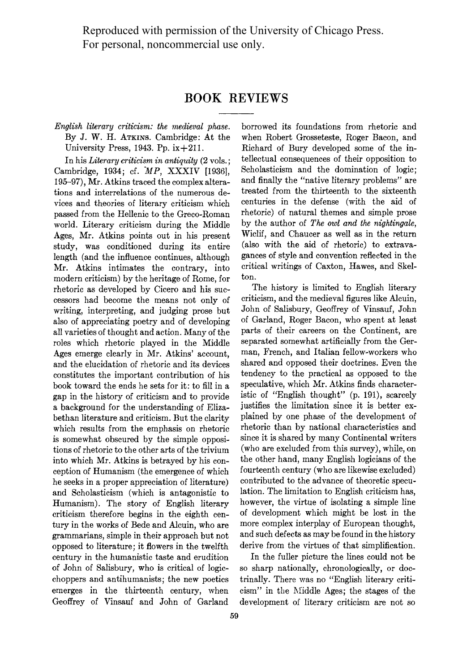Reproduced with permission of the University of Chicago Press. For personal, noncommercial use only.

## **BOOK REVIEWS**

**English literary criticism: the medieval phase. By J. W. H. ATKINS. Cambridge: At the University Press, 1943. Pp. ix+211.** 

**In his Literary criticism in antiquity (2 vols.;**  Cambridge, 1934; cf. MP, XXXIV [1936], **195-97), Mr. Atkins traced the complex alterations and interrelations of the numerous devices and theories of literary criticism which passed from the Hellenic to the Greco-Roman world. Literary criticism during the Middle Ages, Mr. Atkins points out in his present study, was conditioned during its entire length (and the influence continues, although Mr. Atkins intimates the contrary, into modern criticism) by the heritage of Rome, for rhetoric as developed by Cicero and his successors had become the means not only of writing, interpreting, and judging prose but also of appreciating poetry and of developing all varieties of thought and action. Many of the roles which rhetoric played in the Middle Ages emerge clearly in Mr. Atkins' account, and the elucidation of rhetoric and its devices constitutes the important contribution of his book toward the ends he sets for it: to fill in a gap in the history of criticism and to provide a background for the understanding of Elizabethan literature and criticism. But the clarity which results from the emphasis on rhetoric is somewhat obscured by the simple oppositions of rhetoric to the other arts of the trivium into which Mr. Atkins is betrayed by his conception of Humanism (the emergence of which he seeks in a proper appreciation of literature) and Scholasticism (which is antagonistic to Humanism). The story of English literary criticism therefore begins in the eighth century in the works of Bede and Alcuin, who are grammarians, simple in their approach but not opposed to literature; it flowers in the twelfth century in the humanistic taste and erudition of John of Salisbury, who is critical of logicchoppers and antihumanists; the new poetics emerges in the thirteenth century, when Geoffrey of Vinsauf and John of Garland** 

**borrowed its foundations from rhetoric and when Robert Grosseteste, Roger Bacon, and Richard of Bury developed some of the intellectual consequences of their opposition to Scholasticism and the domination of logic; and finally the "native literary problems" are treated from the thirteenth to the sixteenth centuries in the defense (with the aid of rhetoric) of natural themes and simple prose by the author of The owl and the nightingale, Wiclif, and Chaucer as well as in the return (also with the aid of rhetoric) to extravagances of style and convention reflected in the critical writings of Caxton, Hawes, and Skelton.** 

**The history is limited to English literary criticism, and the medieval figures like Alcuin, John of Salisbury, Geoffrey of Vinsauf, John of Garland, Roger Bacon, who spent at least parts of their careers on the Continent, are separated somewhat artificially from the German, French, and Italian fellow-workers who shared and opposed their doctrines. Even the tendency to the practical as opposed to the speculative, which Mr. Atkins finds characteristic of "English thought" (p. 191), scarcely justifies the limitation since it is better explained by one phase of the development of rhetoric than by national characteristics and since it is shared by many Continental writers (who are excluded from this survey), while, on the other hand, many English logicians of the fourteenth century (who are likewise excluded) contributed to the advance of theoretic speculation. The limitation to English criticism has, however, the virtue of isolating a simple line of development which might be lost in the more complex interplay of European thought, and such defects as may be found in the history derive from the virtues of that simplification.** 

**In the fuller picture the lines could not be so sharp nationally, chronologically, or doctrinally. There was no "English literary criticism" in the 5Middle Ages; the stages of the development of literary criticism are not so**